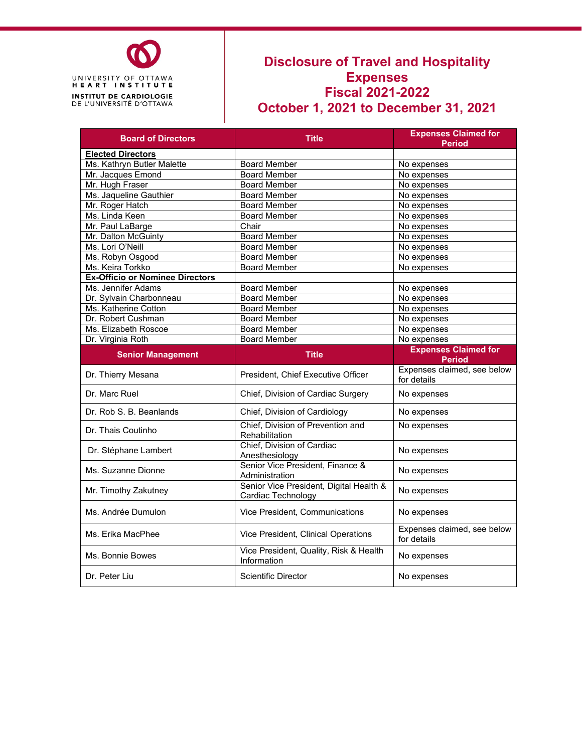

## **Disclosure of Travel and Hospitality Expenses Fiscal 2021-2022 October 1, 2021 to December 31, 2021**

| <b>Board of Directors</b>              | <b>Expenses Claimed for</b><br><b>Title</b><br><b>Period</b>  |                                              |  |
|----------------------------------------|---------------------------------------------------------------|----------------------------------------------|--|
| <b>Elected Directors</b>               |                                                               |                                              |  |
| Ms. Kathryn Butler Malette             | <b>Board Member</b>                                           | No expenses                                  |  |
| Mr. Jacques Emond                      | <b>Board Member</b>                                           | No expenses                                  |  |
| Mr. Hugh Fraser                        | <b>Board Member</b><br>No expenses                            |                                              |  |
| Ms. Jaqueline Gauthier                 | <b>Board Member</b>                                           | No expenses                                  |  |
| Mr. Roger Hatch                        | <b>Board Member</b>                                           | No expenses                                  |  |
| Ms. Linda Keen                         | <b>Board Member</b>                                           | No expenses                                  |  |
| Mr. Paul LaBarge                       | Chair                                                         | No expenses                                  |  |
| Mr. Dalton McGuinty                    | <b>Board Member</b>                                           | No expenses                                  |  |
| Ms. Lori O'Neill                       | <b>Board Member</b>                                           | No expenses                                  |  |
| Ms. Robyn Osgood                       | <b>Board Member</b>                                           | No expenses                                  |  |
| Ms. Keira Torkko                       | <b>Board Member</b>                                           | No expenses                                  |  |
| <b>Ex-Officio or Nominee Directors</b> |                                                               |                                              |  |
| Ms. Jennifer Adams                     | <b>Board Member</b>                                           | No expenses                                  |  |
| Dr. Sylvain Charbonneau                | <b>Board Member</b>                                           | No expenses                                  |  |
| Ms. Katherine Cotton                   | <b>Board Member</b>                                           | No expenses                                  |  |
| Dr. Robert Cushman                     | <b>Board Member</b>                                           | No expenses                                  |  |
| Ms. Elizabeth Roscoe                   | <b>Board Member</b>                                           | No expenses                                  |  |
| Dr. Virginia Roth                      | <b>Board Member</b>                                           | No expenses                                  |  |
| <b>Senior Management</b>               | <b>Title</b>                                                  | <b>Expenses Claimed for</b><br><b>Period</b> |  |
| Dr. Thierry Mesana                     | President, Chief Executive Officer                            | Expenses claimed, see below<br>for details   |  |
| Dr. Marc Ruel                          | Chief, Division of Cardiac Surgery                            | No expenses                                  |  |
| Dr. Rob S. B. Beanlands                | Chief, Division of Cardiology                                 | No expenses                                  |  |
| Dr. Thais Coutinho                     | Chief, Division of Prevention and<br>Rehabilitation           | No expenses                                  |  |
| Dr. Stéphane Lambert                   | Chief, Division of Cardiac<br>Anesthesiology                  | No expenses                                  |  |
| Ms. Suzanne Dionne                     | Senior Vice President, Finance &<br>Administration            | No expenses                                  |  |
| Mr. Timothy Zakutney                   | Senior Vice President, Digital Health &<br>Cardiac Technology | No expenses                                  |  |
| Ms. Andrée Dumulon                     | Vice President, Communications                                | No expenses                                  |  |
| Ms. Erika MacPhee                      | Vice President, Clinical Operations                           | Expenses claimed, see below<br>for details   |  |
| Ms. Bonnie Bowes                       | Vice President, Quality, Risk & Health<br>Information         | No expenses                                  |  |
| Dr. Peter Liu                          | <b>Scientific Director</b>                                    | No expenses                                  |  |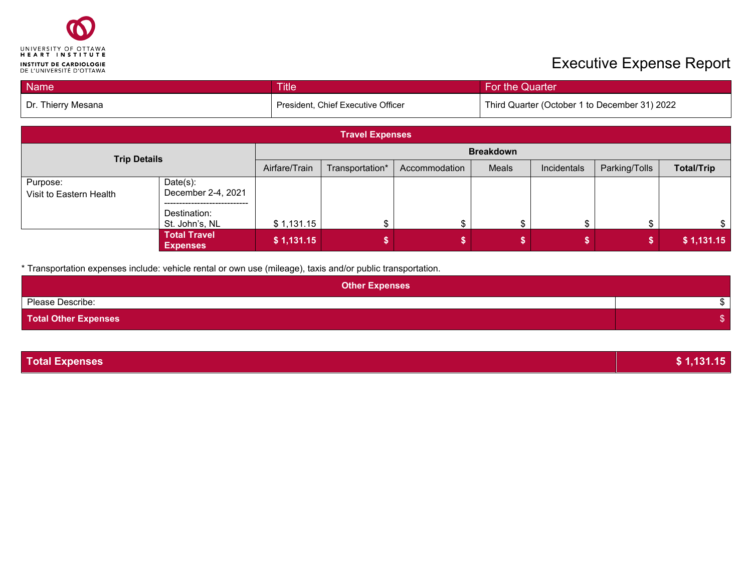

## **Executive Expense Report**

| <b>Name</b>        | <b>Title</b>                         | For the Quarter                               |  |  |
|--------------------|--------------------------------------|-----------------------------------------------|--|--|
| Dr. Thierry Mesana | l President. Chief Executive Officer | Third Quarter (October 1 to December 31) 2022 |  |  |

| <b>Travel Expenses</b>              |                                                   |                  |                                                                                                |  |  |  |            |
|-------------------------------------|---------------------------------------------------|------------------|------------------------------------------------------------------------------------------------|--|--|--|------------|
| <b>Trip Details</b>                 |                                                   | <b>Breakdown</b> |                                                                                                |  |  |  |            |
|                                     |                                                   | Airfare/Train    | <b>Total/Trip</b><br>Parking/Tolls<br>Meals<br>Incidentals<br>Transportation*<br>Accommodation |  |  |  |            |
| Purpose:<br>Visit to Eastern Health | $Date(s)$ :<br>December 2-4, 2021<br>Destination: |                  |                                                                                                |  |  |  |            |
|                                     | St. John's, NL                                    | \$1,131.15       |                                                                                                |  |  |  |            |
|                                     | <b>Total Travel</b><br><b>Expenses</b>            | \$1,131.15       |                                                                                                |  |  |  | \$1,131.15 |

\* Transportation expenses include: vehicle rental or own use (mileage), taxis and/or public transportation.

| <b>Other Expenses</b>       |  |
|-----------------------------|--|
| Please Describe:            |  |
| <b>Total Other Expenses</b> |  |

| <b>Total Expenses</b> | \$1,131.15 |
|-----------------------|------------|
|                       |            |